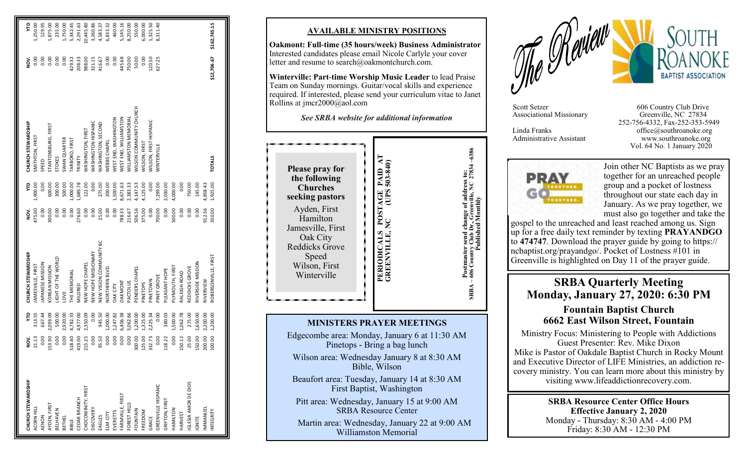| CHURCH STEWARDSHIP           | NOV.       | ę        | CHURCH STEWARDSHIP      | š      | ይ        | CHURCH STEWARDSHIP          | s<br>≌      | ę            |
|------------------------------|------------|----------|-------------------------|--------|----------|-----------------------------|-------------|--------------|
| ACORN HILL                   | 21.13      | 313.55   | IAMESVILLE, FIRST       | 475.00 | 1,900.00 | SMITHTON, FIRST             | 0.00        | ,250.00      |
| AENON                        | 0.00       | 667.44   | APANESE MISSION         | 0.00   | 0.00     | SPEED                       | 0.00        | 129.95       |
| AYDEN, FIRST                 | 53.90      | 2,093.09 | KOREAN MISSION          | 300.00 | 600.00   | STANTONSBURG, FIRST         | 0.00        | ,875.00      |
| <b>BELHAVEN</b>              | 0.00       | 500.00   | JGHT OF THE WORLD       | 0.00   | 300.00   | STOKES                      | 0.00        | 235.00       |
| <b>BETHEL</b>                | 0.00       | ,920.00  | <b>JVE</b>              | 0.00   | 500.00   | SWAN QUARTER                | 0.00        | 1,750.00     |
| BIBLE                        | 18.40      | 4,782.33 | THE MEMORIAL            | 0.00   | 000.000  | TARBORO, FIRST              | 429.32      | 5,342.45     |
| CEDAR BRANCH                 | 19.00<br>4 | 4,977.00 | MILDRED                 | 276.60 | 1,689.78 | TRINITY                     | 208.33      | 2,291.63     |
| CHOCOWINITY, FIRST           | 15.25      | 2,350.09 | <b>VEW HOPE CHAPEL</b>  | 0.00   | 122.00   | <b>WASHINGTON, FIRST</b>    | 988.00      | 10,445.80    |
| <b>DISCOVERY</b>             | 0.00       | 0.00     | NEW HOPE MISSIONARY     | 0.00   | 0.00     | WASHINGTON HISPANIC         | 321.15      | 3,260.86     |
| EAGLES                       | 95.50      | 945.50   | NEW VISION COMMUNITY BC | 25.00  | 275.00   | <b>WASHINGTON, SECOND</b>   | 416.67      | 4,583.37     |
| ELM CITY                     | 0.00       | 1,000.00 | <b>JORTHERN BLVD.</b>   | 0.00   | 200.00   | WEBBS CHAPEL                | 0.00        | 6,833.32     |
| EVERETTS<br>FARMVILLE, FIRST | 0.00       | 1,247.82 | <b>DAKCITY</b>          | 0.00   | 1,500.00 | WEST END, WASHINGTON        | 0.00        | 460.00       |
|                              | 0.00       | 6,406.38 | <b>DAKMONT</b>          | 788.33 | 3,671.63 | WEST END, WILLIAMSTON       | 445.68      | 5,145.16     |
| FOREST HILLS                 | 0.00       | 5,062.66 | PACTOLUS                | 216.67 | 2,383.33 | <b>WILLIAMSTON MEMORIAL</b> | 750.00      | 8,250.00     |
| FOUNTAIN                     | 100.00     | ,200.00  | PENDERS CHAPEI          | 506.56 | 4,147.53 | WILSON COMMUNITY CHURCH     | 50.00       | 550.00       |
| FREEDOM                      | .25.00     | 1,325.00 | PINETOPS                | 375.00 | 4,125.00 | <b>NILSON, FIRST</b>        | 0.00        | 6,000.00     |
| GRACE                        | 32.73      | 2,225.34 | PINETOWN                | 0.00   | 0.00     | WILSON, FIRST HISPANIC      | 120.50      | 1,325.50     |
| GREENVILLE HISPANIC          | 0.00       | 0.00     | PINEY GROVE             | 700.00 | 7,299.00 | WINTERVILLE                 | 627.25      | 8,311.40     |
| GRIFTON, FIRST               | 18.22      | 380.03   | PLEASANT HOPE           | 0.00   | 2,030.00 |                             |             |              |
| HAMILTON                     | 0.00       | 1,500.00 | PLYMOUTH, FIRST         | 500.00 | 4,000.00 |                             |             |              |
| HARVEST                      | 50.12      | 1,062.78 | RALEIGH ROAD            | 0.00   | 0.00     |                             |             |              |
| IGLESIA AMOR DE DIOS         | 25.00      | 275.00   | REDDICKS GROVE          | 0.00   | 750.00   |                             |             |              |
| <b>IGNITE</b>                | 50.00      | 1,650.00 | RIVERSIDE MISSION       | 0.00   | 145.00   |                             |             |              |
| IMMANUEL                     | 00.00      | 2,200.00 | RIVERVIEW               | 912.36 | 4,858.43 |                             |             |              |
| INTEGRITY                    | 00.00      | 1,200.00 | ROBERSONVILLE, FIRST    | 350.00 | 1,925.00 | <b>TOTALS</b>               | \$12,706.67 | \$162,745.15 |
|                              |            |          |                         |        |          |                             |             |              |

#### **AVAILABLE MINISTRY POSITIONS**

**Oakmont: Full -time (35 hours/week) Business Administrator**  Interested candidates please email Nicole Carlyle your cover letter and resume to search@oakmontchurch.com.

**Winterville: Part -time Worship Music Leader** to lead Praise Team on Sunday mornings. Guitar/vocal skills and experience required. If interested, please send your curriculum vitae to Janet Rollins at jmcr2000@aol.com

*See SRBA website for additional information*

Postmaster send change of address to:<br>606 Country Club Dr., Greenville, NC 27834-6386<br>Published Monthly **PERIODICALS POSTAGE PAID AT**  PAID AT<br>503-840) **GREENVILLE, NC (UPS 503-840) Please pray for Postmaster send change of address to: the following Churches** PERIODICALS POSTAGE<br>GREENVILLE, NC (UPS **seeking pastors** Ayden, First Hamilton Jamesville, First Oak City Reddicks Grove Speed Wilson, First Winterville  $SRBA -$ 

### **MINISTERS PRAYER MEETINGS**

Edgecombe area: Monday, January 6 at 11:30 AM Pinetops - Bring a bag lunch Wilson area: Wednesday January 8 at 8:30 AM

Bible, Wilson

Beaufort area: Tuesday, January 14 at 8:30 AM First Baptist, Washington

Pitt area: Wednesday, January 15 at 9:00 AM SRBA Resource Center

 Martin area: Wednesday, January 22 at 9:00 AM Williamston Memorial



Associational Missionary

Scott Setzer 606 Country Club Drive<br>Associational Missionary Greenville, NC 27834 252 -756 -4332, Fax -252 -353 -5949 Linda Franks office@southroanoke.org Administrative Assistant www.southroanoke.org Vol. 64 No. 1 January 2020



**SRBA – 606 Country Club Dr., Greenville, NC 27834 –6386 Published Monthly** 

Join other NC Baptists as we pray together for an unreached people group and a pocket of lostness throughout our state each day in January. As we pray together, we must also go together and take the

gospel to the unreached and least reached among us. Sign up for a free daily text reminder by texting **PRAYANDGO** to **474747**. Download the prayer guide by going to https:// ncbaptist.org/prayandgo/. Pocket of Lostness #101 in Greenville is highlighted on Day 11 of the prayer guide.

# **SRBA Quarterly Meeting Monday, January 27, 2020: 6:30 PM**

## **Fountain Baptist Church 6662 East Wilson Street, Fountain**

Ministry Focus: Ministering to People with Addictions Guest Presenter: Rev. Mike Dixon Mike is Pastor of Oakdale Baptist Church in Rocky Mount and Executive Director of LIFE Ministries, an addiction recovery ministry. You can learn more about this ministry by visiting www.lifeaddictionrecovery.com.

> **SRBA Resource Center Office Hours Effective January 2, 2020** Monday - Thursday: 8:30 AM - 4:00 PM Friday: 8:30 AM - 12:30 PM